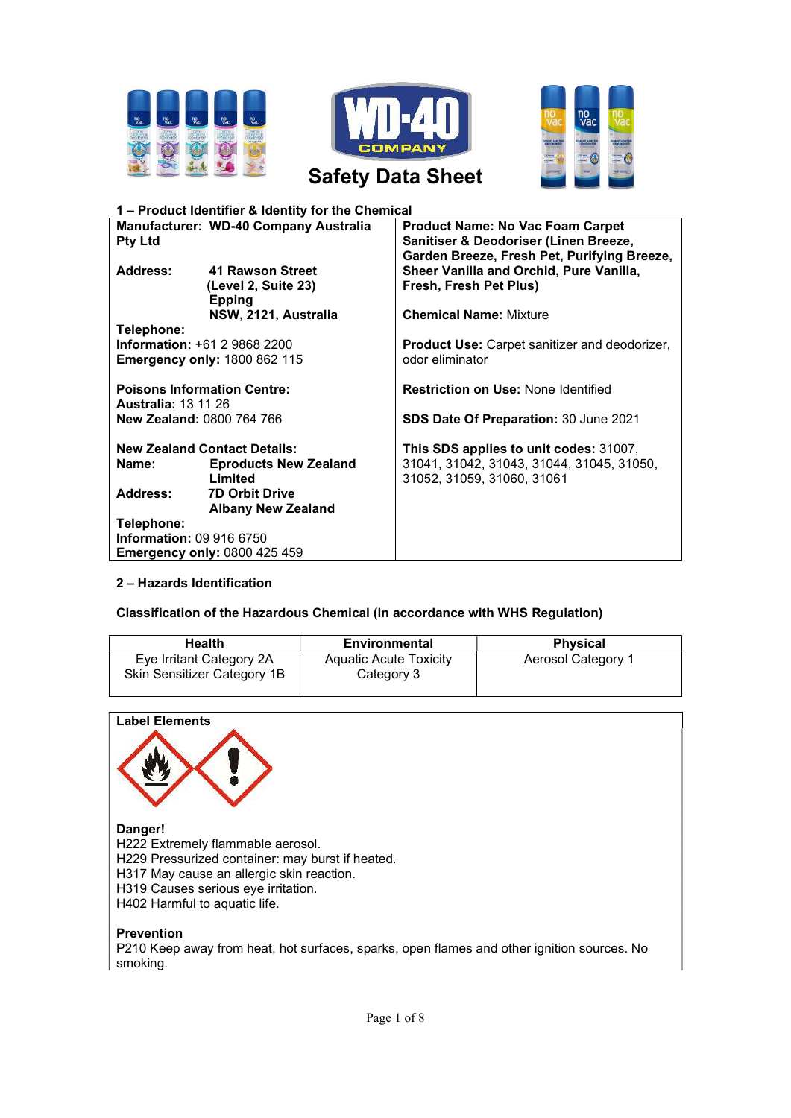





Safety Data Sheet

| 1 - Product Identifier & Identity for the Chemical                                       |                                                          |                                                                                                                                 |  |
|------------------------------------------------------------------------------------------|----------------------------------------------------------|---------------------------------------------------------------------------------------------------------------------------------|--|
| Manufacturer: WD-40 Company Australia<br><b>Pty Ltd</b>                                  |                                                          | <b>Product Name: No Vac Foam Carpet</b><br>Sanitiser & Deodoriser (Linen Breeze,<br>Garden Breeze, Fresh Pet, Purifying Breeze, |  |
| Address:                                                                                 | 41 Rawson Street<br>(Level 2, Suite 23)<br><b>Epping</b> | Sheer Vanilla and Orchid, Pure Vanilla,<br>Fresh, Fresh Pet Plus)                                                               |  |
|                                                                                          | NSW, 2121, Australia                                     | <b>Chemical Name: Mixture</b>                                                                                                   |  |
| Telephone:<br><b>Information: +61 2 9868 2200</b><br><b>Emergency only: 1800 862 115</b> |                                                          | <b>Product Use:</b> Carpet sanitizer and deodorizer,<br>odor eliminator                                                         |  |
| <b>Poisons Information Centre:</b>                                                       |                                                          | <b>Restriction on Use: None Identified</b>                                                                                      |  |
| <b>Australia: 13 11 26</b><br><b>New Zealand: 0800 764 766</b>                           |                                                          | SDS Date Of Preparation: 30 June 2021                                                                                           |  |
| <b>New Zealand Contact Details:</b><br><b>Eproducts New Zealand</b><br>Name:<br>Limited  |                                                          | This SDS applies to unit codes: 31007,<br>31041, 31042, 31043, 31044, 31045, 31050,<br>31052, 31059, 31060, 31061               |  |
| Address:                                                                                 | <b>7D Orbit Drive</b><br><b>Albany New Zealand</b>       |                                                                                                                                 |  |
| Telephone:<br><b>Information: 09 916 6750</b><br><b>Emergency only: 0800 425 459</b>     |                                                          |                                                                                                                                 |  |

## 2 – Hazards Identification

## Classification of the Hazardous Chemical (in accordance with WHS Regulation)

| <b>Health</b>                                           | <b>Environmental</b>                        | <b>Physical</b>    |
|---------------------------------------------------------|---------------------------------------------|--------------------|
| Eye Irritant Category 2A<br>Skin Sensitizer Category 1B | <b>Aquatic Acute Toxicity</b><br>Category 3 | Aerosol Category 1 |



## Danger!

H222 Extremely flammable aerosol.

- H229 Pressurized container: may burst if heated.
- H317 May cause an allergic skin reaction.
- H319 Causes serious eye irritation.
- H402 Harmful to aquatic life.

## Prevention

P210 Keep away from heat, hot surfaces, sparks, open flames and other ignition sources. No smoking.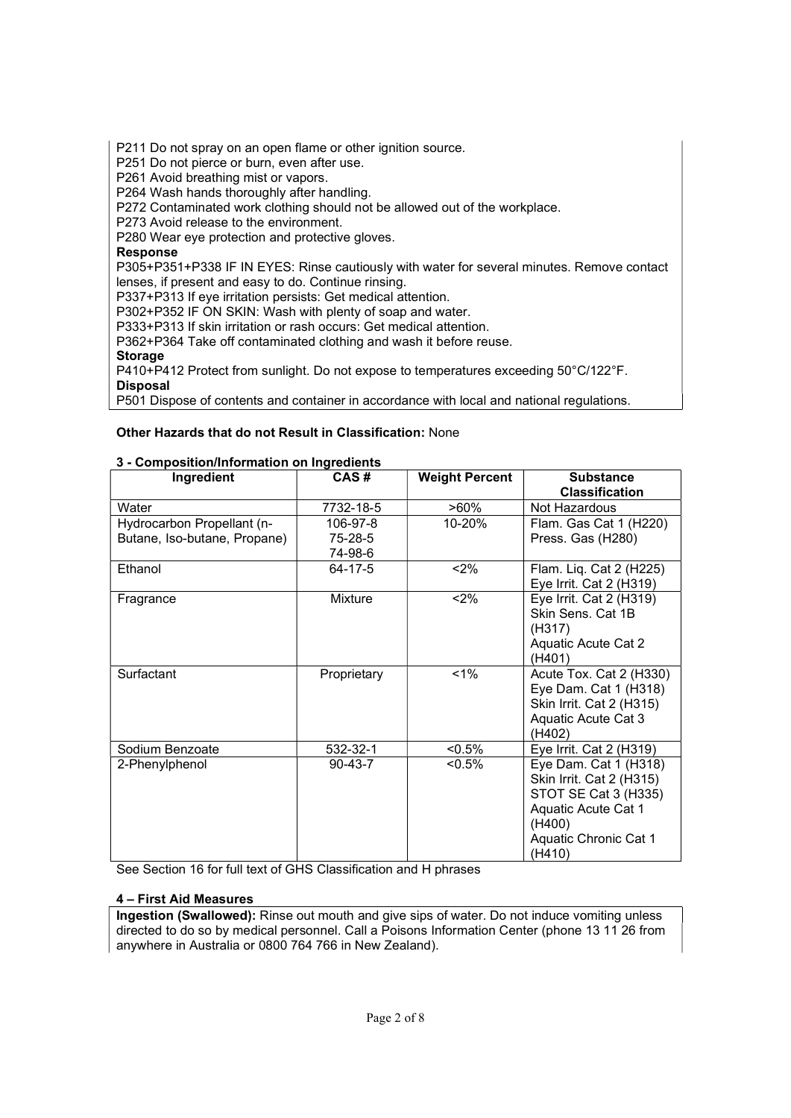P211 Do not spray on an open flame or other ignition source.

P251 Do not pierce or burn, even after use.

P261 Avoid breathing mist or vapors.

P264 Wash hands thoroughly after handling.

P272 Contaminated work clothing should not be allowed out of the workplace.

P273 Avoid release to the environment.

P280 Wear eye protection and protective gloves.

## Response

P305+P351+P338 IF IN EYES: Rinse cautiously with water for several minutes. Remove contact lenses, if present and easy to do. Continue rinsing.

P337+P313 If eye irritation persists: Get medical attention.

P302+P352 IF ON SKIN: Wash with plenty of soap and water.

P333+P313 If skin irritation or rash occurs: Get medical attention.

P362+P364 Take off contaminated clothing and wash it before reuse.

Storage

P410+P412 Protect from sunlight. Do not expose to temperatures exceeding 50°C/122°F. Disposal

P501 Dispose of contents and container in accordance with local and national regulations.

## Other Hazards that do not Result in Classification: None

## 3 - Composition/Information on Ingredients

| Ingredient                   | CAS#               | <b>Weight Percent</b> | <b>Substance</b><br><b>Classification</b>                                                                                                     |
|------------------------------|--------------------|-----------------------|-----------------------------------------------------------------------------------------------------------------------------------------------|
| Water                        | 7732-18-5          | $>60\%$               | Not Hazardous                                                                                                                                 |
| Hydrocarbon Propellant (n-   | 106-97-8           | 10-20%                | Flam. Gas Cat 1 (H220)                                                                                                                        |
| Butane, Iso-butane, Propane) | 75-28-5<br>74-98-6 |                       | Press. Gas (H280)                                                                                                                             |
| Ethanol                      | 64-17-5            | < 2%                  | Flam. Liq. Cat 2 (H225)<br>Eye Irrit. Cat 2 (H319)                                                                                            |
| Fragrance                    | Mixture            | $2\%$                 | Eye Irrit. Cat 2 (H319)<br>Skin Sens. Cat 1B<br>(H317)<br>Aquatic Acute Cat 2<br>(H401)                                                       |
| Surfactant                   | Proprietary        | 1%                    | Acute Tox. Cat 2 (H330)<br>Eye Dam. Cat 1 (H318)<br>Skin Irrit. Cat 2 (H315)<br>Aquatic Acute Cat 3<br>(H402)                                 |
| Sodium Benzoate              | 532-32-1           | $< 0.5\%$             | Eye Irrit. Cat $2$ (H $319$ )                                                                                                                 |
| 2-Phenylphenol               | 90-43-7            | $< 0.5\%$             | Eye Dam. Cat 1 (H318)<br>Skin Irrit. Cat 2 (H315)<br>STOT SE Cat 3 (H335)<br>Aquatic Acute Cat 1<br>(H400)<br>Aquatic Chronic Cat 1<br>(H410) |

See Section 16 for full text of GHS Classification and H phrases

## 4 – First Aid Measures

Ingestion (Swallowed): Rinse out mouth and give sips of water. Do not induce vomiting unless directed to do so by medical personnel. Call a Poisons Information Center (phone 13 11 26 from anywhere in Australia or 0800 764 766 in New Zealand).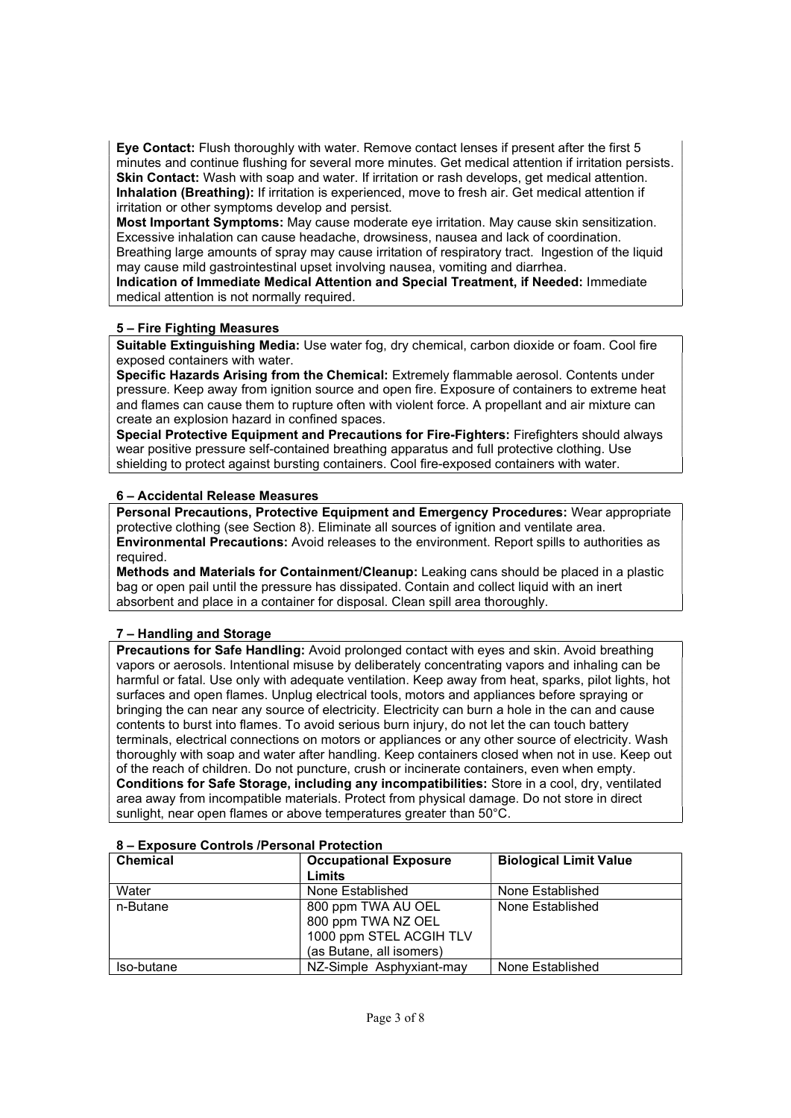Eye Contact: Flush thoroughly with water. Remove contact lenses if present after the first 5 minutes and continue flushing for several more minutes. Get medical attention if irritation persists. Skin Contact: Wash with soap and water. If irritation or rash develops, get medical attention. Inhalation (Breathing): If irritation is experienced, move to fresh air. Get medical attention if irritation or other symptoms develop and persist.

Most Important Symptoms: May cause moderate eye irritation. May cause skin sensitization. Excessive inhalation can cause headache, drowsiness, nausea and lack of coordination. Breathing large amounts of spray may cause irritation of respiratory tract. Ingestion of the liquid

may cause mild gastrointestinal upset involving nausea, vomiting and diarrhea.

Indication of Immediate Medical Attention and Special Treatment, if Needed: Immediate medical attention is not normally required.

# 5 – Fire Fighting Measures

Suitable Extinguishing Media: Use water fog, dry chemical, carbon dioxide or foam. Cool fire exposed containers with water.

Specific Hazards Arising from the Chemical: Extremely flammable aerosol. Contents under pressure. Keep away from ignition source and open fire. Exposure of containers to extreme heat and flames can cause them to rupture often with violent force. A propellant and air mixture can create an explosion hazard in confined spaces.

Special Protective Equipment and Precautions for Fire-Fighters: Firefighters should always wear positive pressure self-contained breathing apparatus and full protective clothing. Use shielding to protect against bursting containers. Cool fire-exposed containers with water.

# 6 – Accidental Release Measures

Personal Precautions, Protective Equipment and Emergency Procedures: Wear appropriate protective clothing (see Section 8). Eliminate all sources of ignition and ventilate area. Environmental Precautions: Avoid releases to the environment. Report spills to authorities as required.

Methods and Materials for Containment/Cleanup: Leaking cans should be placed in a plastic bag or open pail until the pressure has dissipated. Contain and collect liquid with an inert absorbent and place in a container for disposal. Clean spill area thoroughly.

# 7 – Handling and Storage

Precautions for Safe Handling: Avoid prolonged contact with eyes and skin. Avoid breathing vapors or aerosols. Intentional misuse by deliberately concentrating vapors and inhaling can be harmful or fatal. Use only with adequate ventilation. Keep away from heat, sparks, pilot lights, hot surfaces and open flames. Unplug electrical tools, motors and appliances before spraying or bringing the can near any source of electricity. Electricity can burn a hole in the can and cause contents to burst into flames. To avoid serious burn injury, do not let the can touch battery terminals, electrical connections on motors or appliances or any other source of electricity. Wash thoroughly with soap and water after handling. Keep containers closed when not in use. Keep out of the reach of children. Do not puncture, crush or incinerate containers, even when empty. Conditions for Safe Storage, including any incompatibilities: Store in a cool, dry, ventilated area away from incompatible materials. Protect from physical damage. Do not store in direct sunlight, near open flames or above temperatures greater than 50°C.

| <b>Chemical</b> | <b>Occupational Exposure</b><br>Limits                                                          | <b>Biological Limit Value</b> |
|-----------------|-------------------------------------------------------------------------------------------------|-------------------------------|
| Water           | None Established                                                                                | None Established              |
| n-Butane        | 800 ppm TWA AU OEL<br>800 ppm TWA NZ OEL<br>1000 ppm STEL ACGIH TLV<br>(as Butane, all isomers) | None Established              |
| Iso-butane      | NZ-Simple Asphyxiant-may                                                                        | None Established              |

## 8 – Exposure Controls /Personal Protection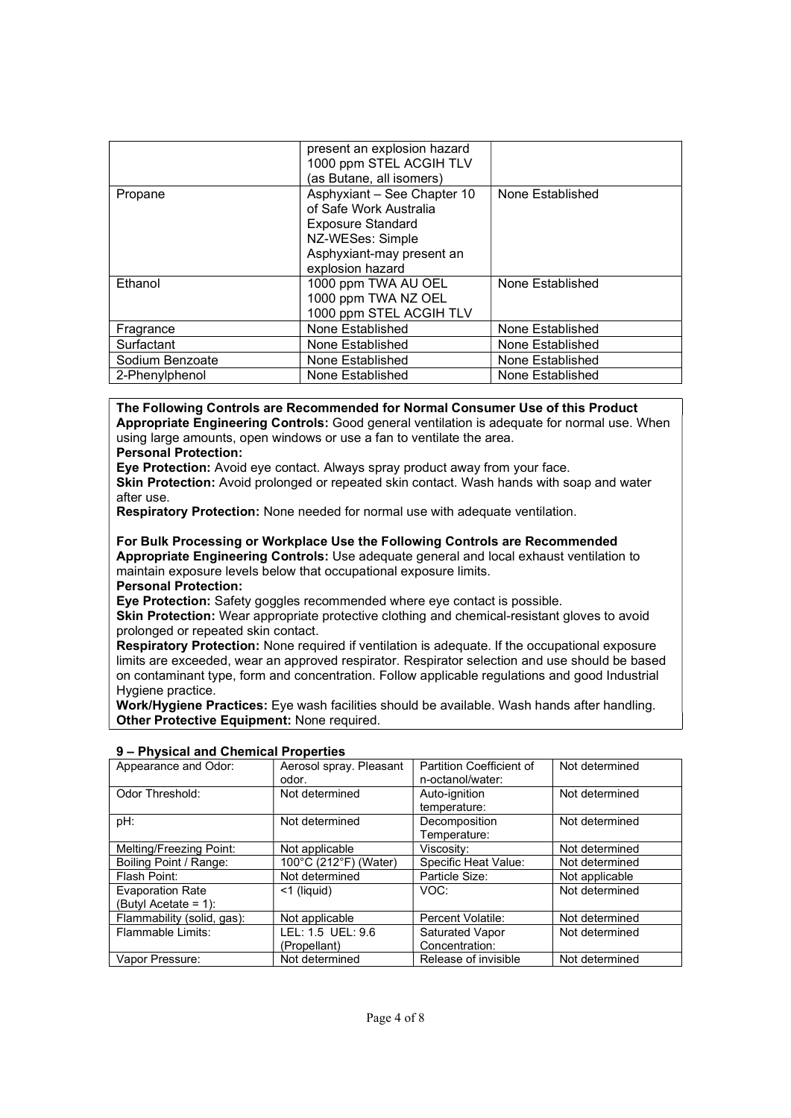|                 | present an explosion hazard<br>1000 ppm STEL ACGIH TLV<br>(as Butane, all isomers)                                                                     |                  |
|-----------------|--------------------------------------------------------------------------------------------------------------------------------------------------------|------------------|
| Propane         | Asphyxiant - See Chapter 10<br>of Safe Work Australia<br><b>Exposure Standard</b><br>NZ-WESes: Simple<br>Asphyxiant-may present an<br>explosion hazard | None Established |
| Ethanol         | 1000 ppm TWA AU OEL<br>1000 ppm TWA NZ OEL<br>1000 ppm STEL ACGIH TLV                                                                                  | None Established |
| Fragrance       | None Established                                                                                                                                       | None Established |
| Surfactant      | None Established                                                                                                                                       | None Established |
| Sodium Benzoate | None Established                                                                                                                                       | None Established |
| 2-Phenylphenol  | None Established                                                                                                                                       | None Established |

The Following Controls are Recommended for Normal Consumer Use of this Product Appropriate Engineering Controls: Good general ventilation is adequate for normal use. When using large amounts, open windows or use a fan to ventilate the area. Personal Protection:

Eye Protection: Avoid eye contact. Always spray product away from your face.

Skin Protection: Avoid prolonged or repeated skin contact. Wash hands with soap and water after use.

Respiratory Protection: None needed for normal use with adequate ventilation.

For Bulk Processing or Workplace Use the Following Controls are Recommended Appropriate Engineering Controls: Use adequate general and local exhaust ventilation to maintain exposure levels below that occupational exposure limits.

Personal Protection:

Eye Protection: Safety goggles recommended where eye contact is possible.

Skin Protection: Wear appropriate protective clothing and chemical-resistant gloves to avoid prolonged or repeated skin contact.

Respiratory Protection: None required if ventilation is adequate. If the occupational exposure limits are exceeded, wear an approved respirator. Respirator selection and use should be based on contaminant type, form and concentration. Follow applicable regulations and good Industrial Hygiene practice.

Work/Hygiene Practices: Eye wash facilities should be available. Wash hands after handling. Other Protective Equipment: None required.

| $3 - r$ reported and Orienthcal Froperies |                                  |                                              |                |
|-------------------------------------------|----------------------------------|----------------------------------------------|----------------|
| Appearance and Odor:                      | Aerosol spray. Pleasant<br>odor. | Partition Coefficient of<br>n-octanol/water: | Not determined |
|                                           |                                  |                                              |                |
| Odor Threshold:                           | Not determined                   | Auto-ignition                                | Not determined |
|                                           |                                  | temperature:                                 |                |
| pH:                                       | Not determined                   | Decomposition                                | Not determined |
|                                           |                                  | Temperature:                                 |                |
| Melting/Freezing Point:                   | Not applicable                   | Viscosity:                                   | Not determined |
| Boiling Point / Range:                    | 100°C (212°F) (Water)            | Specific Heat Value:                         | Not determined |
| Flash Point:                              | Not determined                   | Particle Size:                               | Not applicable |
| <b>Evaporation Rate</b>                   | $<$ 1 (liquid)                   | VOC:                                         | Not determined |
| (Butyl Acetate = 1):                      |                                  |                                              |                |
| Flammability (solid, gas):                | Not applicable                   | Percent Volatile:                            | Not determined |
| Flammable Limits:                         | LEL: 1.5 UEL: 9.6                | <b>Saturated Vapor</b>                       | Not determined |
|                                           | (Propellant)                     | Concentration:                               |                |
| Vapor Pressure:                           | Not determined                   | Release of invisible                         | Not determined |

#### 9 – Physical and Chemical Properties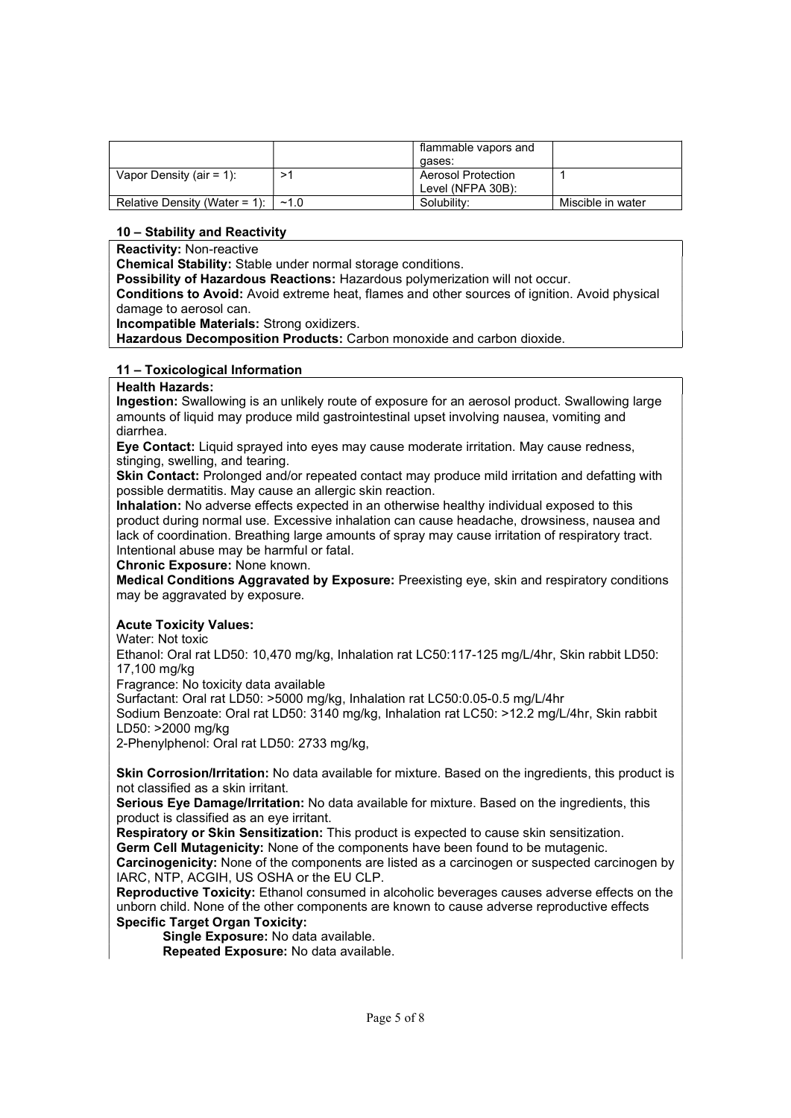|                               |      | flammable vapors and      |                   |
|-------------------------------|------|---------------------------|-------------------|
|                               |      | aases:                    |                   |
| Vapor Density (air = 1):      |      | <b>Aerosol Protection</b> |                   |
|                               |      | Level (NFPA 30B):         |                   |
| Relative Density (Water = 1): | ~1.0 | Solubility:               | Miscible in water |

## 10 – Stability and Reactivity

Reactivity: Non-reactive

Chemical Stability: Stable under normal storage conditions.

Possibility of Hazardous Reactions: Hazardous polymerization will not occur.

Conditions to Avoid: Avoid extreme heat, flames and other sources of ignition. Avoid physical damage to aerosol can.

Incompatible Materials: Strong oxidizers.

Hazardous Decomposition Products: Carbon monoxide and carbon dioxide.

## 11 – Toxicological Information

#### Health Hazards:

Ingestion: Swallowing is an unlikely route of exposure for an aerosol product. Swallowing large amounts of liquid may produce mild gastrointestinal upset involving nausea, vomiting and diarrhea.

Eye Contact: Liquid sprayed into eyes may cause moderate irritation. May cause redness, stinging, swelling, and tearing.

Skin Contact: Prolonged and/or repeated contact may produce mild irritation and defatting with possible dermatitis. May cause an allergic skin reaction.

Inhalation: No adverse effects expected in an otherwise healthy individual exposed to this product during normal use. Excessive inhalation can cause headache, drowsiness, nausea and lack of coordination. Breathing large amounts of spray may cause irritation of respiratory tract. Intentional abuse may be harmful or fatal.

Chronic Exposure: None known.

Medical Conditions Aggravated by Exposure: Preexisting eye, skin and respiratory conditions may be aggravated by exposure.

## Acute Toxicity Values:

Water: Not toxic

Ethanol: Oral rat LD50: 10,470 mg/kg, Inhalation rat LC50:117-125 mg/L/4hr, Skin rabbit LD50: 17,100 mg/kg

Fragrance: No toxicity data available

Surfactant: Oral rat LD50: >5000 mg/kg, Inhalation rat LC50:0.05-0.5 mg/L/4hr

Sodium Benzoate: Oral rat LD50: 3140 mg/kg, Inhalation rat LC50: >12.2 mg/L/4hr, Skin rabbit LD50: >2000 mg/kg

2-Phenylphenol: Oral rat LD50: 2733 mg/kg,

Skin Corrosion/Irritation: No data available for mixture. Based on the ingredients, this product is not classified as a skin irritant.

Serious Eye Damage/Irritation: No data available for mixture. Based on the ingredients, this product is classified as an eye irritant.

Respiratory or Skin Sensitization: This product is expected to cause skin sensitization.

Germ Cell Mutagenicity: None of the components have been found to be mutagenic.

Carcinogenicity: None of the components are listed as a carcinogen or suspected carcinogen by IARC, NTP, ACGIH, US OSHA or the EU CLP.

Reproductive Toxicity: Ethanol consumed in alcoholic beverages causes adverse effects on the unborn child. None of the other components are known to cause adverse reproductive effects Specific Target Organ Toxicity:

Single Exposure: No data available.

Repeated Exposure: No data available.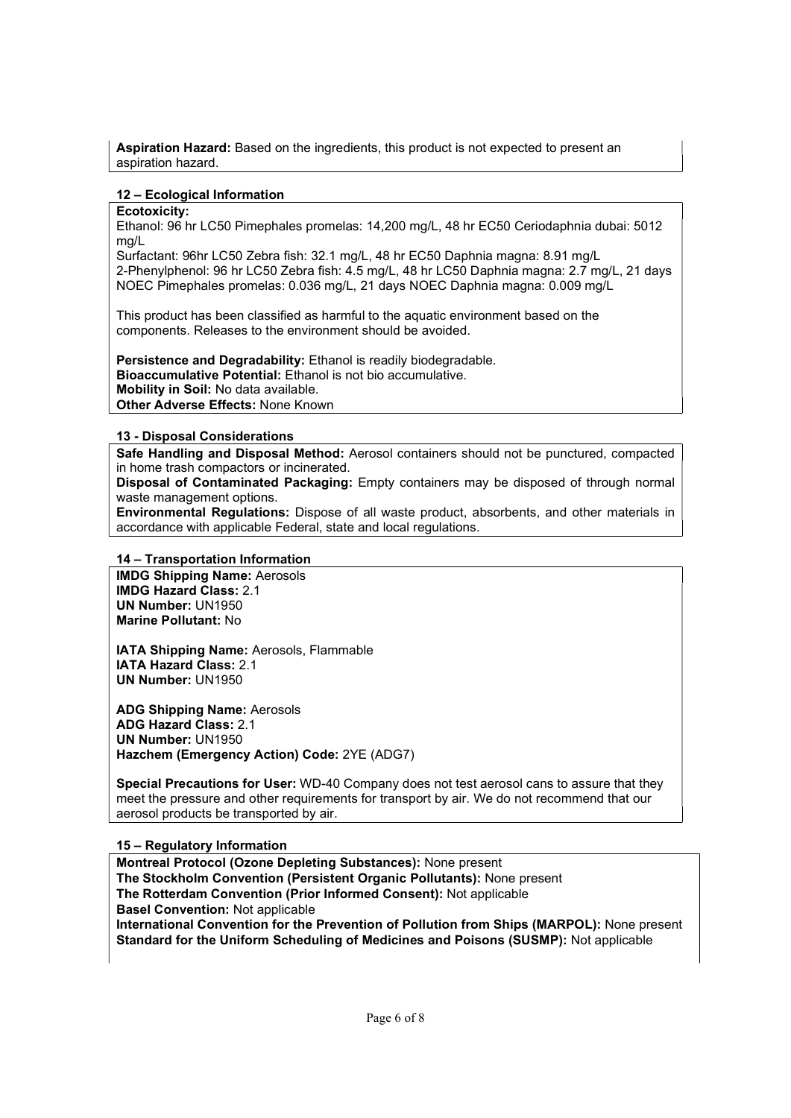Aspiration Hazard: Based on the ingredients, this product is not expected to present an aspiration hazard.

## 12 – Ecological Information

## Ecotoxicity:

Ethanol: 96 hr LC50 Pimephales promelas: 14,200 mg/L, 48 hr EC50 Ceriodaphnia dubai: 5012 mg/L

Surfactant: 96hr LC50 Zebra fish: 32.1 mg/L, 48 hr EC50 Daphnia magna: 8.91 mg/L 2-Phenylphenol: 96 hr LC50 Zebra fish: 4.5 mg/L, 48 hr LC50 Daphnia magna: 2.7 mg/L, 21 days NOEC Pimephales promelas: 0.036 mg/L, 21 days NOEC Daphnia magna: 0.009 mg/L

This product has been classified as harmful to the aquatic environment based on the components. Releases to the environment should be avoided.

Persistence and Degradability: Ethanol is readily biodegradable. Bioaccumulative Potential: Ethanol is not bio accumulative. Mobility in Soil: No data available. Other Adverse Effects: None Known

## 13 - Disposal Considerations

Safe Handling and Disposal Method: Aerosol containers should not be punctured, compacted in home trash compactors or incinerated.

Disposal of Contaminated Packaging: Empty containers may be disposed of through normal waste management options.

Environmental Regulations: Dispose of all waste product, absorbents, and other materials in accordance with applicable Federal, state and local regulations.

# 14 – Transportation Information

IMDG Shipping Name: Aerosols IMDG Hazard Class: 2.1 UN Number: UN1950 Marine Pollutant: No

IATA Shipping Name: Aerosols, Flammable IATA Hazard Class: 2.1 UN Number: UN1950

ADG Shipping Name: Aerosols ADG Hazard Class: 2.1 UN Number: UN1950 Hazchem (Emergency Action) Code: 2YE (ADG7)

Special Precautions for User: WD-40 Company does not test aerosol cans to assure that they meet the pressure and other requirements for transport by air. We do not recommend that our aerosol products be transported by air.

## 15 – Regulatory Information

Montreal Protocol (Ozone Depleting Substances): None present The Stockholm Convention (Persistent Organic Pollutants): None present The Rotterdam Convention (Prior Informed Consent): Not applicable Basel Convention: Not applicable International Convention for the Prevention of Pollution from Ships (MARPOL): None present Standard for the Uniform Scheduling of Medicines and Poisons (SUSMP): Not applicable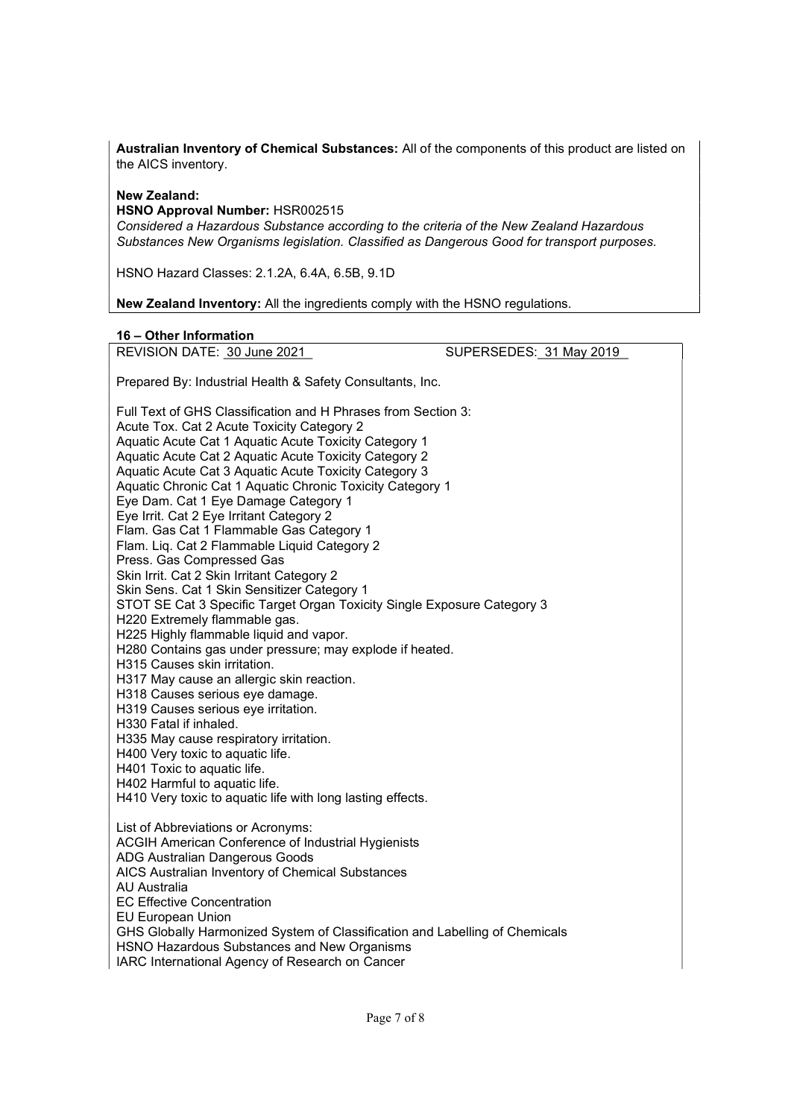Australian Inventory of Chemical Substances: All of the components of this product are listed on the AICS inventory.

## New Zealand:

HSNO Approval Number: HSR002515

Considered a Hazardous Substance according to the criteria of the New Zealand Hazardous Substances New Organisms legislation. Classified as Dangerous Good for transport purposes.

HSNO Hazard Classes: 2.1.2A, 6.4A, 6.5B, 9.1D

New Zealand Inventory: All the ingredients comply with the HSNO regulations.

## 16 – Other Information

REVISION DATE: 30 June 2021 CHANGE SUPERSEDES: 31 May 2019

Prepared By: Industrial Health & Safety Consultants, Inc.

Full Text of GHS Classification and H Phrases from Section 3: Acute Tox. Cat 2 Acute Toxicity Category 2 Aquatic Acute Cat 1 Aquatic Acute Toxicity Category 1 Aquatic Acute Cat 2 Aquatic Acute Toxicity Category 2 Aquatic Acute Cat 3 Aquatic Acute Toxicity Category 3 Aquatic Chronic Cat 1 Aquatic Chronic Toxicity Category 1 Eye Dam. Cat 1 Eye Damage Category 1 Eye Irrit. Cat 2 Eye Irritant Category 2 Flam. Gas Cat 1 Flammable Gas Category 1 Flam. Liq. Cat 2 Flammable Liquid Category 2 Press. Gas Compressed Gas Skin Irrit. Cat 2 Skin Irritant Category 2 Skin Sens. Cat 1 Skin Sensitizer Category 1 STOT SE Cat 3 Specific Target Organ Toxicity Single Exposure Category 3 H220 Extremely flammable gas. H225 Highly flammable liquid and vapor. H280 Contains gas under pressure; may explode if heated. H315 Causes skin irritation. H317 May cause an allergic skin reaction. H318 Causes serious eye damage. H319 Causes serious eye irritation. H330 Fatal if inhaled. H335 May cause respiratory irritation. H400 Very toxic to aquatic life. H401 Toxic to aquatic life. H402 Harmful to aquatic life. H410 Very toxic to aquatic life with long lasting effects. List of Abbreviations or Acronyms: ACGIH American Conference of Industrial Hygienists ADG Australian Dangerous Goods AICS Australian Inventory of Chemical Substances AU Australia EC Effective Concentration EU European Union GHS Globally Harmonized System of Classification and Labelling of Chemicals HSNO Hazardous Substances and New Organisms IARC International Agency of Research on Cancer